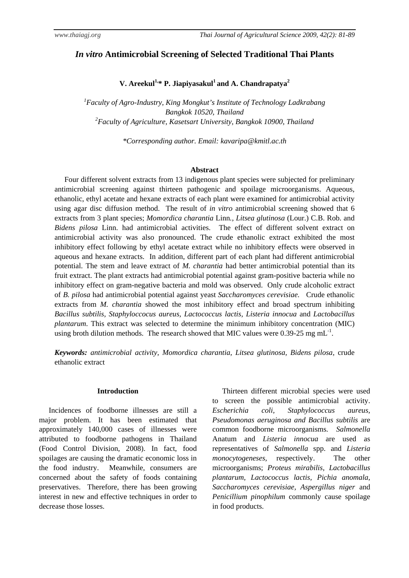# *In vitro* **Antimicrobial Screening of Selected Traditional Thai Plants**

**V.** Areekul<sup>1,\*</sup> P. Jiapiyasakul<sup>1</sup> and A. Chandrapatya<sup>2</sup>

*1 Faculty of Agro-Industry, King Mongkut's Institute of Technology Ladkrabang Bangkok 10520, Thailand 2 Faculty of Agriculture, Kasetsart University, Bangkok 10900, Thailand* 

*\*Corresponding author. Email: kavaripa@kmitl.ac.th* 

## **Abstract**

Four different solvent extracts from 13 indigenous plant species were subjected for preliminary antimicrobial screening against thirteen pathogenic and spoilage microorganisms. Aqueous, ethanolic, ethyl acetate and hexane extracts of each plant were examined for antimicrobial activity using agar disc diffusion method. The result of *in vitro* antimicrobial screening showed that 6 extracts from 3 plant species; *Momordica charantia* Linn*., Litsea glutinosa* (Lour.) C.B. Rob. and *Bidens pilosa* Linn. had antimicrobial activities. The effect of different solvent extract on antimicrobial activity was also pronounced. The crude ethanolic extract exhibited the most inhibitory effect following by ethyl acetate extract while no inhibitory effects were observed in aqueous and hexane extracts. In addition, different part of each plant had different antimicrobial potential. The stem and leave extract of *M. charantia* had better antimicrobial potential than its fruit extract. The plant extracts had antimicrobial potential against gram-positive bacteria while no inhibitory effect on gram-negative bacteria and mold was observed. Only crude alcoholic extract of *B. pilosa* had antimicrobial potential against yeast *Saccharomyces cerevisiae.* Crude ethanolic extracts from *M. charantia* showed the most inhibitory effect and broad spectrum inhibiting *Bacillus subtilis, Staphyloccocus aureus, Lactococcus lactis, Listeria innocua* and *Lactobacillus plantarum*. This extract was selected to determine the minimum inhibitory concentration (MIC) using broth dilution methods. The research showed that MIC values were 0.39-25 mg  $mL^{-1}$ .

*Keywords: antimicrobial activity, Momordica charantia, Litsea glutinosa, Bidens pilosa,* crude ethanolic extract

## **Introduction**

Incidences of foodborne illnesses are still a major problem. It has been estimated that approximately 140,000 cases of illnesses were attributed to foodborne pathogens in Thailand (Food Control Division, 2008). In fact, food spoilages are causing the dramatic economic loss in the food industry. Meanwhile, consumers are concerned about the safety of foods containing preservatives. Therefore, there has been growing interest in new and effective techniques in order to decrease those losses.

Thirteen different microbial species were used to screen the possible antimicrobial activity. *Escherichia coli, Staphylococcus aureus, Pseudomonas aeruginosa and Bacillus subtilis* are common foodborne microorganisms*. Salmonella*  Anatum and *Listeria innocua* are used as representatives of *Salmonella* spp. and *Listeria monocytogeneses,* respectively. The other microorganisms; *Proteus mirabilis, Lactobacillus plantarum, Lactococcus lactis, Pichia anomala, Saccharomyces cerevisiae, Aspergillus niger* and *Penicillium pinophilum* commonly cause spoilage in food products.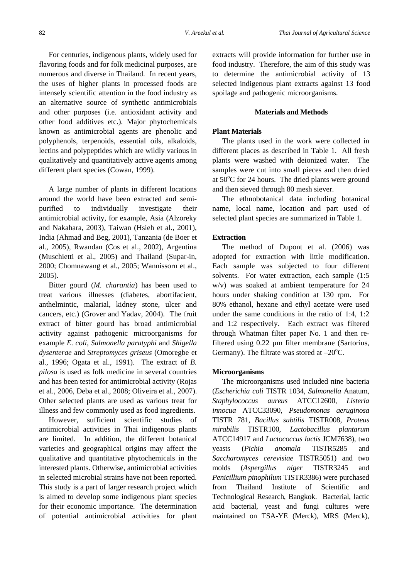For centuries, indigenous plants, widely used for flavoring foods and for folk medicinal purposes, are numerous and diverse in Thailand. In recent years, the uses of higher plants in processed foods are intensely scientific attention in the food industry as an alternative source of synthetic antimicrobials and other purposes (i.e. antioxidant activity and other food additives etc.). Major phytochemicals known as antimicrobial agents are phenolic and polyphenols, terpenoids, essential oils, alkaloids, lectins and polypeptides which are wildly various in qualitatively and quantitatively active agents among different plant species (Cowan, 1999).

A large number of plants in different locations around the world have been extracted and semipurified to individually investigate their antimicrobial activity, for example, Asia (Alzoreky and Nakahara, 2003), Taiwan (Hsieh et al., 2001), India (Ahmad and Beg, 2001), Tanzania (de Boer et al., 2005), Rwandan (Cos et al., 2002), Argentina (Muschietti et al., 2005) and Thailand (Supar-in, 2000; Chomnawang et al., 2005; Wannissorn et al., 2005).

Bitter gourd (*M. charantia*) has been used to treat various illnesses (diabetes, abortifacient, anthelmintic, malarial, kidney stone, ulcer and cancers, etc.) (Grover and Yadav, 2004). The fruit extract of bitter gourd has broad antimicrobial activity against pathogenic microorganisms for example *E. coli, Salmonella paratyphi* and *Shigella dysenterae* and *Streptomyces griseus* (Omoregbe et al., 1996; Ogata et al., 1991). The extract of *B. pilosa* is used as folk medicine in several countries and has been tested for antimicrobial activity (Rojas et al., 2006, Deba et al., 2008; Oliveira et al., 2007). Other selected plants are used as various treat for illness and few commonly used as food ingredients.

However, sufficient scientific studies of antimicrobial activities in Thai indigenous plants are limited. In addition, the different botanical varieties and geographical origins may affect the qualitative and quantitative phytochemicals in the interested plants. Otherwise, antimicrobial activities in selected microbial strains have not been reported. This study is a part of larger research project which is aimed to develop some indigenous plant species for their economic importance. The determination of potential antimicrobial activities for plant extracts will provide information for further use in food industry. Therefore, the aim of this study was to determine the antimicrobial activity of 13 selected indigenous plant extracts against 13 food spoilage and pathogenic microorganisms.

## **Materials and Methods**

## **Plant Materials**

The plants used in the work were collected in different places as described in Table 1. All fresh plants were washed with deionized water. The samples were cut into small pieces and then dried at 50°C for 24 hours. The dried plants were ground and then sieved through 80 mesh siever.

The ethnobotanical data including botanical name, local name, location and part used of selected plant species are summarized in Table 1.

## **Extraction**

The method of Dupont et al. (2006) was adopted for extraction with little modification. Each sample was subjected to four different solvents. For water extraction, each sample (1:5 w/v) was soaked at ambient temperature for 24 hours under shaking condition at 130 rpm. For 80% ethanol, hexane and ethyl acetate were used under the same conditions in the ratio of 1:4, 1:2 and 1:2 respectively. Each extract was filtered through Whatman filter paper No. 1 and then refiltered using 0.22 µm filter membrane (Sartorius, Germany). The filtrate was stored at  $-20^{\circ}$ C.

### **Microorganisms**

The microorganisms used included nine bacteria (*Escherichia coli* TISTR 1034, *Salmonella* Anatum, *Staphylococcus aureus* ATCC12600, *Listeria innocua* ATCC33090, *Pseudomonas aeruginosa* TISTR 781, *Bacillus subtilis* TISTR008, *Proteus mirabilis* TISTR100, *Lactobacillus plantarum*  ATCC14917 and *Lactococcus lactis* JCM7638), two yeasts (*Pichia anomala* TISTR5285 and *Saccharomyces cerevisiae* TISTR5051) and two molds (*Aspergillus niger* TISTR3245 and *Penicillium pinophilum* TISTR3386) were purchased from Thailand Institute of Scientific and Technological Research, Bangkok. Bacterial, lactic acid bacterial, yeast and fungi cultures were maintained on TSA-YE (Merck), MRS (Merck),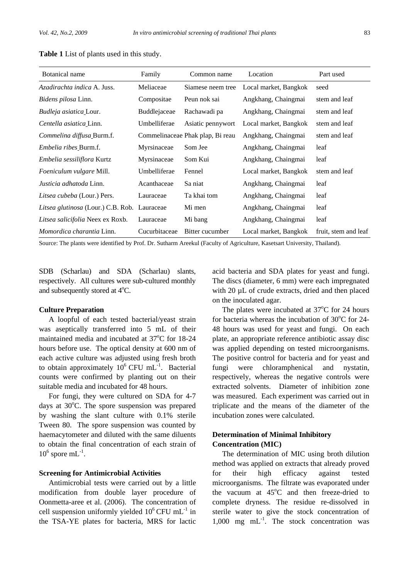| Botanical name                               | Family        | Common name                      | Location              | Part used            |
|----------------------------------------------|---------------|----------------------------------|-----------------------|----------------------|
| Azadirachta indica A. Juss.                  | Meliaceae     | Siamese neem tree                | Local market, Bangkok | seed                 |
| <i>Bidens pilosa</i> Linn.                   | Compositae    | Peun nok sai                     | Angkhang, Chaingmai   | stem and leaf        |
| <i>Budleja asiatica</i> Lour.                | Buddlejaceae  | Rachawadi pa                     | Angkhang, Chaingmai   | stem and leaf        |
| Centella asiatica Linn.                      | Umbelliferae  | Asiatic pennywort                | Local market, Bangkok | stem and leaf        |
| Commelina diffusa Burm.f.                    |               | Commelinaceae Phak plap, Bi reau | Angkhang, Chaingmai   | stem and leaf        |
| <i>Embelia ribes</i> Burm.f.                 | Myrsinaceae   | Som Jee                          | Angkhang, Chaingmai   | leaf                 |
| <i>Embelia sessiliflora</i> Kurtz            | Myrsinaceae   | Som Kui                          | Angkhang, Chaingmai   | leaf                 |
| Foeniculum vulgare Mill.                     | Umbelliferae  | Fennel                           | Local market, Bangkok | stem and leaf        |
| Justicia adhatoda Linn.                      | Acanthaceae   | Sa niat                          | Angkhang, Chaingmai   | leaf                 |
| Litsea cubeba (Lour.) Pers.                  | Lauraceae     | Ta khai tom                      | Angkhang, Chaingmai   | leaf                 |
| Litsea glutinosa (Lour.) C.B. Rob. Lauraceae |               | Mi men                           | Angkhang, Chaingmai   | leaf                 |
| Litsea salicifolia Neex ex Roxb.             | Lauraceae     | Mi bang                          | Angkhang, Chaingmai   | leaf                 |
| <i>Momordica charantia Linn.</i>             | Cucurbitaceae | Bitter cucumber                  | Local market, Bangkok | fruit, stem and leaf |

**Table 1** List of plants used in this study.

Source: The plants were identified by Prof. Dr. Sutharm Areekul (Faculty of Agriculture, Kasetsart University, Thailand).

SDB (Scharlau) and SDA (Scharlau) slants, respectively. All cultures were sub-cultured monthly and subsequently stored at  $4^{\circ}$ C.

#### **Culture Preparation**

A loopful of each tested bacterial/yeast strain was aseptically transferred into 5 mL of their maintained media and incubated at  $37^{\circ}$ C for 18-24 hours before use. The optical density at 600 nm of each active culture was adjusted using fresh broth to obtain approximately  $10^6$  CFU mL<sup>-1</sup>. Bacterial counts were confirmed by planting out on their suitable media and incubated for 48 hours.

For fungi, they were cultured on SDA for 4-7 days at 30°C. The spore suspension was prepared by washing the slant culture with 0.1% sterile Tween 80. The spore suspension was counted by haemacytometer and diluted with the same diluents to obtain the final concentration of each strain of  $10^6$  spore mL<sup>-1</sup>.

#### **Screening for Antimicrobial Activities**

Antimicrobial tests were carried out by a little modification from double layer procedure of Oonmetta-aree et al. (2006). The concentration of cell suspension uniformly yielded  $10^6$  CFU mL<sup>-1</sup> in the TSA-YE plates for bacteria, MRS for lactic

acid bacteria and SDA plates for yeast and fungi. The discs (diameter, 6 mm) were each impregnated with 20 µL of crude extracts, dried and then placed on the inoculated agar.

The plates were incubated at  $37^{\circ}$ C for 24 hours for bacteria whereas the incubation of  $30^{\circ}$ C for 24-48 hours was used for yeast and fungi. On each plate, an appropriate reference antibiotic assay disc was applied depending on tested microorganisms. The positive control for bacteria and for yeast and fungi were chloramphenical and nystatin, respectively, whereas the negative controls were extracted solvents. Diameter of inhibition zone was measured. Each experiment was carried out in triplicate and the means of the diameter of the incubation zones were calculated.

## **Determination of Minimal Inhibitory Concentration (MIC)**

The determination of MIC using broth dilution method was applied on extracts that already proved for their high efficacy against tested microorganisms. The filtrate was evaporated under the vacuum at  $45^{\circ}$ C and then freeze-dried to complete dryness. The residue re-dissolved in sterile water to give the stock concentration of 1,000 mg  $mL^{-1}$ . The stock concentration was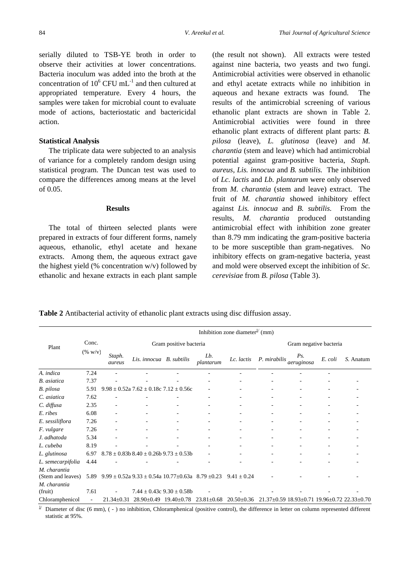serially diluted to TSB-YE broth in order to observe their activities at lower concentrations. Bacteria inoculum was added into the broth at the concentration of  $10^6$  CFU mL<sup>-1</sup> and then cultured at appropriated temperature. Every 4 hours, the samples were taken for microbial count to evaluate mode of actions, bacteriostatic and bactericidal action.

## **Statistical Analysis**

The triplicate data were subjected to an analysis of variance for a completely random design using statistical program. The Duncan test was used to compare the differences among means at the level of 0.05.

## **Results**

The total of thirteen selected plants were prepared in extracts of four different forms, namely aqueous, ethanolic, ethyl acetate and hexane extracts. Among them, the aqueous extract gave the highest yield (% concentration  $w/v$ ) followed by ethanolic and hexane extracts in each plant sample

(the result not shown). All extracts were tested against nine bacteria, two yeasts and two fungi. Antimicrobial activities were observed in ethanolic and ethyl acetate extracts while no inhibition in aqueous and hexane extracts was found. The results of the antimicrobial screening of various ethanolic plant extracts are shown in Table 2. Antimicrobial activities were found in three ethanolic plant extracts of different plant parts: *B. pilosa* (leave), *L. glutinosa* (leave) and *M. charantia* (stem and leave) which had antimicrobial potential against gram-positive bacteria, *Staph. aureus, Lis. innocua* and *B. subtilis.* The inhibition of *Lc. lactis* and *Lb. plantarum* were only observed from *M. charantia* (stem and leave) extract. The fruit of *M. charantia* showed inhibitory effect against *Lis. innocua* and *B. subtilis.* From the results, *M. charantia* produced outstanding antimicrobial effect with inhibition zone greater than 8.79 mm indicating the gram-positive bacteria to be more susceptible than gram-negatives. No inhibitory effects on gram-negative bacteria, yeast and mold were observed except the inhibition of *Sc. cerevisiae* from *B. pilosa* (Table 3).

**Table 2** Antibacterial activity of ethanolic plant extracts using disc diffusion assay.

|                         |         | Inhibition zone diameter <sup><math>\perp</math></sup> (mm) |                                                                        |                        |                          |                  |                                                             |                        |         |           |
|-------------------------|---------|-------------------------------------------------------------|------------------------------------------------------------------------|------------------------|--------------------------|------------------|-------------------------------------------------------------|------------------------|---------|-----------|
| Plant                   | Conc.   |                                                             |                                                                        | Gram positive bacteria |                          |                  |                                                             | Gram negative bacteria |         |           |
|                         | (% w/v) | Staph.<br>aureus                                            | Lis. innocua B. subtilis                                               |                        | Lb.<br>plantarum         | Lc. lactis       | P. mirabilis                                                | Ps.<br>aeruginosa      | E. coli | S. Anatum |
| A. indica               | 7.24    |                                                             |                                                                        |                        |                          |                  |                                                             |                        |         |           |
| B. asiatica             | 7.37    |                                                             |                                                                        |                        |                          |                  |                                                             |                        |         |           |
| B. pilosa               | 5.91    |                                                             | $9.98 \pm 0.52$ a 7.62 $\pm$ 0.18c 7.12 $\pm$ 0.56c                    |                        |                          | ٠                |                                                             |                        |         |           |
| C. asiatica             | 7.62    |                                                             |                                                                        |                        |                          |                  |                                                             |                        |         |           |
| C. diffusa              | 2.35    |                                                             |                                                                        |                        |                          |                  |                                                             |                        |         |           |
| E. ribes                | 6.08    |                                                             |                                                                        |                        |                          |                  |                                                             |                        |         |           |
| E. sessiliflora         | 7.26    |                                                             |                                                                        |                        | $\overline{\phantom{a}}$ | ۰                |                                                             |                        |         |           |
| F. vulgare              | 7.26    |                                                             |                                                                        |                        |                          |                  |                                                             |                        |         |           |
| J. adhatoda             | 5.34    |                                                             |                                                                        |                        |                          |                  |                                                             |                        |         |           |
| L. cubeba               | 8.19    |                                                             |                                                                        |                        |                          | ÷,               |                                                             |                        |         |           |
| L. glutinosa            | 6.97    |                                                             | $8.78 \pm 0.83b$ $8.40 \pm 0.26b$ $9.73 \pm 0.53b$                     |                        |                          |                  |                                                             |                        |         |           |
| L. semecarpifolia       | 4.44    |                                                             |                                                                        |                        |                          |                  |                                                             |                        |         |           |
| M. charantia            |         |                                                             |                                                                        |                        |                          |                  |                                                             |                        |         |           |
| (Stem and leaves)       | 5.89    |                                                             | $9.99 \pm 0.52$ a $9.33 \pm 0.54$ a $10.77 \pm 0.63$ a $8.79 \pm 0.23$ |                        |                          | $9.41 \pm 0.24$  |                                                             |                        |         |           |
| M. charantia<br>(fruit) | 7.61    |                                                             | $7.44 \pm 0.43c$ 9.30 $\pm$ 0.58b                                      |                        |                          |                  |                                                             |                        |         |           |
| Chloramphenicol         |         | $21.34 \pm 0.31$                                            | $28.90 \pm 0.49$ 19.40 $\pm$ 0.78                                      |                        | $23.81 \pm 0.68$         | $20.50 \pm 0.36$ | $21.37\pm0.59$ $18.93\pm0.71$ $19.96\pm0.72$ $22.33\pm0.70$ |                        |         |           |

 $\mu$  Diameter of disc (6 mm), (-) no inhibition, Chloramphenical (positive control), the difference in letter on column represented different statistic at 95%.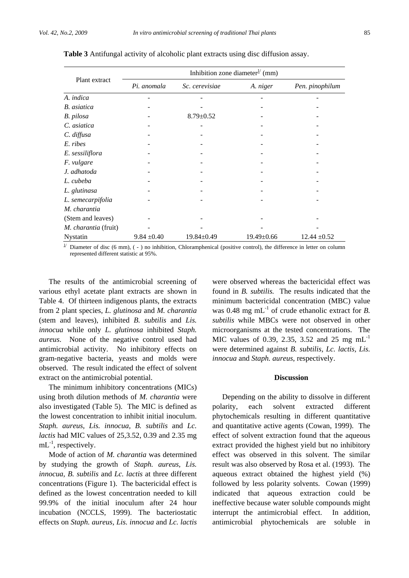|                      | Inhibition zone diameter <sup><math>1/</math></sup> (mm) |                  |                  |                  |  |  |  |  |
|----------------------|----------------------------------------------------------|------------------|------------------|------------------|--|--|--|--|
| Plant extract        | Pi. anomala                                              | Sc. cerevisiae   | A. niger         | Pen. pinophilum  |  |  |  |  |
| A. indica            |                                                          |                  |                  |                  |  |  |  |  |
| B. asiatica          |                                                          |                  |                  |                  |  |  |  |  |
| B. pilosa            |                                                          | $8.79 \pm 0.52$  |                  |                  |  |  |  |  |
| C. asiatica          |                                                          |                  |                  |                  |  |  |  |  |
| C. diffusa           |                                                          |                  |                  |                  |  |  |  |  |
| E. ribes             |                                                          |                  |                  |                  |  |  |  |  |
| E. sessiliflora      |                                                          |                  |                  |                  |  |  |  |  |
| F. vulgare           |                                                          |                  |                  |                  |  |  |  |  |
| J. adhatoda          |                                                          |                  |                  |                  |  |  |  |  |
| L. cubeba            |                                                          |                  |                  |                  |  |  |  |  |
| L. glutinasa         |                                                          |                  |                  |                  |  |  |  |  |
| L. semecarpifolia    |                                                          |                  |                  |                  |  |  |  |  |
| M. charantia         |                                                          |                  |                  |                  |  |  |  |  |
| (Stem and leaves)    |                                                          |                  |                  |                  |  |  |  |  |
| M. charantia (fruit) |                                                          |                  |                  |                  |  |  |  |  |
| Nystatin             | $9.84 \pm 0.40$                                          | $19.84 \pm 0.49$ | $19.49 \pm 0.66$ | $12.44 \pm 0.52$ |  |  |  |  |

**Table 3** Antifungal activity of alcoholic plant extracts using disc diffusion assay.

 $1\prime$  Diameter of disc (6 mm), ( - ) no inhibition, Chloramphenical (positive control), the difference in letter on column represented different statistic at 95%.

The results of the antimicrobial screening of various ethyl acetate plant extracts are shown in Table 4. Of thirteen indigenous plants, the extracts from 2 plant species, *L. glutinosa* and *M. charantia*  (stem and leaves), inhibited *B. subtilis* and *Lis. innocua* while only *L. glutinosa* inhibited *Staph. aureus*. None of the negative control used had antimicrobial activity. No inhibitory effects on gram-negative bacteria, yeasts and molds were observed. The result indicated the effect of solvent extract on the antimicrobial potential.

The minimum inhibitory concentrations (MICs) using broth dilution methods of *M. charantia* were also investigated (Table 5). The MIC is defined as the lowest concentration to inhibit initial inoculum. *Staph. aureus, Lis. innocua, B. subtilis* and *Lc. lactis* had MIC values of 25,3.52, 0.39 and 2.35 mg  $mL^{-1}$ , respectively.

Mode of action of *M. charantia* was determined by studying the growth of *Staph. aureus, Lis. innocua, B. subtilis* and *Lc. lactis* at three different concentrations (Figure 1). The bactericidal effect is defined as the lowest concentration needed to kill 99.9% of the initial inoculum after 24 hour incubation (NCCLS, 1999). The bacteriostatic effects on *Staph. aureus, Lis. innocua* and *Lc. lactis*

were observed whereas the bactericidal effect was found in *B. subtilis.* The results indicated that the minimum bactericidal concentration (MBC) value was 0.48 mg  $mL^{-1}$  of crude ethanolic extract for *B*. *subtilis* while MBCs were not observed in other microorganisms at the tested concentrations. The MIC values of 0.39, 2.35, 3.52 and 25 mg  $mL^{-1}$ were determined against *B. subtilis, Lc. lactis, Lis. innocua* and *Staph. aureus*, respectively.

## **Discussion**

Depending on the ability to dissolve in different polarity, each solvent extracted different phytochemicals resulting in different quantitative and quantitative active agents (Cowan, 1999). The effect of solvent extraction found that the aqueous extract provided the highest yield but no inhibitory effect was observed in this solvent. The similar result was also observed by Rosa et al. (1993). The aqueous extract obtained the highest yield (%) followed by less polarity solvents. Cowan (1999) indicated that aqueous extraction could be ineffective because water soluble compounds might interrupt the antimicrobial effect. In addition, antimicrobial phytochemicals are soluble in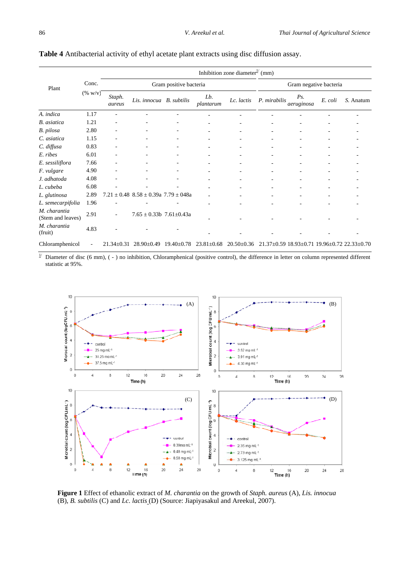|                                   |         |                  |                                             |                          |                  | Inhibition zone diameter <sup><math>1/</math></sup> (mm) |              |                        |         |                                                             |
|-----------------------------------|---------|------------------|---------------------------------------------|--------------------------|------------------|----------------------------------------------------------|--------------|------------------------|---------|-------------------------------------------------------------|
| Plant                             | Conc.   |                  |                                             | Gram positive bacteria   |                  |                                                          |              | Gram negative bacteria |         |                                                             |
|                                   | (% w/v) | Staph.<br>aureus | Lis. innocua B. subtilis                    |                          | Lb.<br>plantarum | Lc. lactis                                               | P. mirabilis | Ps.<br>aeruginosa      | E. coli | S. Anatum                                                   |
| A. indica                         | 1.17    |                  |                                             |                          |                  |                                                          |              |                        |         |                                                             |
| <b>B.</b> asiatica                | 1.21    |                  |                                             |                          |                  |                                                          |              |                        |         |                                                             |
| B. pilosa                         | 2.80    | ٠                |                                             | ۰                        | ٠                | $\sim$                                                   |              |                        |         |                                                             |
| C. asiatica                       | 1.15    |                  |                                             |                          |                  |                                                          |              |                        |         |                                                             |
| C. diffusa                        | 0.83    |                  |                                             |                          |                  |                                                          |              |                        |         |                                                             |
| E. ribes                          | 6.01    | ٠                | ٠                                           | $\overline{\phantom{a}}$ |                  | $\overline{\phantom{a}}$                                 |              |                        |         |                                                             |
| E. sessiliflora                   | 7.66    |                  |                                             |                          |                  |                                                          |              |                        |         |                                                             |
| F. vulgare                        | 4.90    |                  |                                             |                          |                  | ٠                                                        |              |                        |         |                                                             |
| J. adhatoda                       | 4.08    | ÷,               |                                             | ٠                        |                  | $\overline{\phantom{a}}$                                 |              |                        |         |                                                             |
| L. cubeba                         | 6.08    |                  |                                             |                          |                  |                                                          |              |                        |         |                                                             |
| L. glutinosa                      | 2.89    | 7.21             | $\pm$ 0.48 8.58 $\pm$ 0.39a 7.79 $\pm$ 048a |                          | ٠                |                                                          |              |                        |         |                                                             |
| L. semecarpifolia                 | 1.96    |                  |                                             |                          | ٠                |                                                          |              |                        |         |                                                             |
| M. charantia<br>(Stem and leaves) | 2.91    |                  | $7.65 \pm 0.33b$ 7.61 $\pm$ 0.43a           |                          |                  |                                                          |              |                        |         |                                                             |
| M. charantia<br>(fruit)           | 4.83    |                  |                                             |                          |                  |                                                          |              |                        |         |                                                             |
| Chloramphenicol                   |         | $21.34 \pm 0.31$ | $28.90 \pm 0.49$                            | $19.40 \pm 0.78$         | $23.81 \pm 0.68$ | $20.50 \pm 0.36$                                         |              |                        |         | $21.37\pm0.59$ $18.93\pm0.71$ $19.96\pm0.72$ $22.33\pm0.70$ |

## **Table 4** Antibacterial activity of ethyl acetate plant extracts using disc diffusion assay.

 $\mu$  Diameter of disc (6 mm), (-) no inhibition, Chloramphenical (positive control), the difference in letter on column represented different statistic at 95%.



**Figure 1** Effect of ethanolic extract of *M. charantia* on the growth of *Staph. aureus* (A), *Lis. innocua*  (B), *B. subtilis* (C) and *Lc. lactis* (D) (Source: Jiapiyasakul and Areekul, 2007).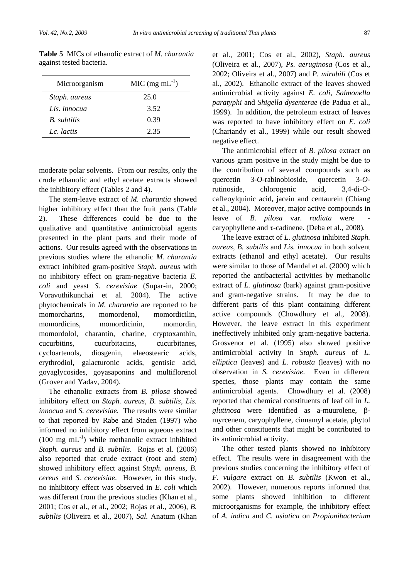| Microorganism       | $MIC (mg mL-1)$ |
|---------------------|-----------------|
| Staph. aureus       | 25.0            |
| Lis. <i>innocua</i> | 3.52            |
| B. subtilis         | 0.39            |
| Lc. lactis          | 2.35            |

**Table 5** MICs of ethanolic extract of *M. charantia* against tested bacteria.

moderate polar solvents. From our results, only the crude ethanolic and ethyl acetate extracts showed the inhibitory effect (Tables 2 and 4).

The stem-leave extract of *M. charantia* showed higher inhibitory effect than the fruit parts (Table 2). These differences could be due to the qualitative and quantitative antimicrobial agents presented in the plant parts and their mode of actions. Our results agreed with the observations in previous studies where the ethanolic *M. charantia*  extract inhibited gram-positive *Staph. aureus* with no inhibitory effect on gram-negative bacteria *E. coli* and yeast *S. cerevisiae* (Supar-in, 2000; Voravuthikunchai et al. 2004). The active phytochemicals in *M. charantia* are reported to be momorcharins, momordenol, momordicilin, momordicins, momordicinin, momordin, momordolol, charantin, charine, cryptoxanthin, cucurbitins, cucurbitacins, cucurbitanes, cycloartenols, diosgenin, elaeostearic acids, erythrodiol, galacturonic acids, gentisic acid, goyaglycosides, goyasaponins and multiflorenol (Grover and Yadav, 2004).

The ethanolic extracts from *B. pilosa* showed inhibitory effect on *Staph. aureus, B. subtilis, Lis. innocua* and *S. cerevisiae.* The results were similar to that reported by Rabe and Staden (1997) who informed no inhibitory effect from aqueous extract  $(100 \text{ mg } \text{mL}^{-1})$  while methanolic extract inhibited *Staph. aureus* and *B. subtilis*. Rojas et al. (2006) also reported that crude extract (root and stem) showed inhibitory effect against *Staph. aureus, B. cereus* and *S. cerevisiae*. However, in this study, no inhibitory effect was observed in *E. coli* which was different from the previous studies (Khan et al., 2001; Cos et al., et al., 2002; Rojas et al., 2006), *B. subtilis* (Oliveira et al., 2007), *Sal.* Anatum (Khan et al., 2001; Cos et al., 2002), *Staph. aureus* (Oliveira et al., 2007), *Ps. aeruginosa* (Cos et al., 2002; Oliveira et al., 2007) and *P. mirabili* (Cos et al., 2002). Ethanolic extract of the leaves showed antimicrobial activity against *E. coli, Salmonella paratyphi* and *Shigella dysenterae* (de Padua et al., 1999). In addition, the petroleum extract of leaves was reported to have inhibitory effect on *E. coli* (Chariandy et al., 1999) while our result showed negative effect.

The antimicrobial effect of *B. pilosa* extract on various gram positive in the study might be due to the contribution of several compounds such as quercetin 3-*O*-rabinobioside, quercetin 3-*O*rutinoside, chlorogenic acid, 3,4-di-*O*caffeoylquinic acid, jacein and centaurein (Chiang et al., 2004). Moreover, major active compounds in leave of *B. pilosa* var. *radiata* were caryophyllene and τ-cadinene. (Deba et al., 2008).

The leave extract of *L. glutinosa* inhibited *Staph. aureus, B. subtilis* and *Lis. innocua* in both solvent extracts (ethanol and ethyl acetate). Our results were similar to those of Mandal et al. (2000) which reported the antibacterial activities by methanolic extract of *L. glutinosa* (bark) against gram-positive and gram-negative strains. It may be due to different parts of this plant containing different active compounds (Chowdhury et al., 2008). However, the leave extract in this experiment ineffectively inhibited only gram-negative bacteria. Grosvenor et al. (1995) also showed positive antimicrobial activity in *Staph. aureus* of *L. elliptica* (leaves) and *L. robusta* (leaves) with no observation in *S. cerevisiae*. Even in different species, those plants may contain the same antimicrobial agents. Chowdhury et al. (2008) reported that chemical constituents of leaf oil in *L. glutinosa* were identified as a-muurolene, βmyrcenem, caryophyllene, cinnamyl acetate, phytol and other constituents that might be contributed to its antimicrobial activity.

The other tested plants showed no inhibitory effect. The results were in disagreement with the previous studies concerning the inhibitory effect of *F. vulgare* extract on *B. subtilis* (Kwon et al., 2002). However, numerous reports informed that some plants showed inhibition to different microorganisms for example, the inhibitory effect of *A. indica* and *C. asiatica* on *Propionibacterium*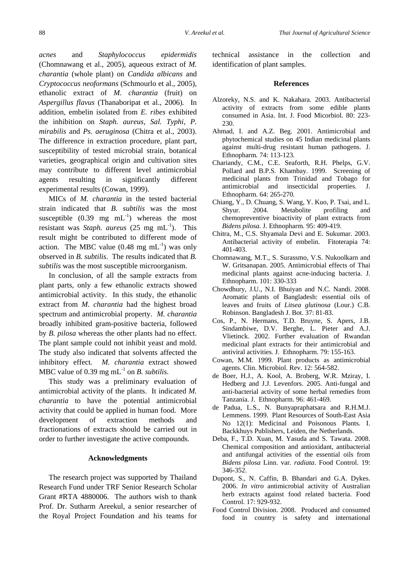*acnes* and *Staphylococcus epidermidis*  (Chomnawang et al., 2005), aqueous extract of *M. charantia* (whole plant) on *Candida albicans* and *Cryptococcus neoformans* (Schmourlo et al., 2005), ethanolic extract of *M. charantia* (fruit) on *Aspergillus flavus* (Thanaboripat et al., 2006)*.* In addition*,* embelin isolated from *E. ribes* exhibited the inhibition on *Staph. aureus, Sal. Typhi, P. mirabilis* and *Ps. aeruginosa* (Chitra et al., 2003). The difference in extraction procedure, plant part, susceptibility of tested microbial strain, botanical varieties, geographical origin and cultivation sites may contribute to different level antimicrobial agents resulting in significantly different experimental results (Cowan, 1999).

MICs of *M. charantia* in the tested bacterial strain indicated that *B. subtilis* was the most susceptible  $(0.39 \text{ mg } \text{mL}^{-1})$  whereas the most resistant was *Staph. aureus* (25 mg mL-1). This result might be contributed to different mode of action. The MBC value  $(0.48 \text{ mg} \text{ mL}^{-1})$  was only observed in *B. subtilis.* The results indicated that *B. subtilis* was the most susceptible microorganism.

In conclusion, of all the sample extracts from plant parts, only a few ethanolic extracts showed antimicrobial activity. In this study, the ethanolic extract from *M. charantia* had the highest broad spectrum and antimicrobial property. *M. charantia*  broadly inhibited gram-positive bacteria, followed by *B. pilosa* whereas the other plants had no effect. The plant sample could not inhibit yeast and mold. The study also indicated that solvents affected the inhibitory effect*. M. charantia* extract showed MBC value of 0.39 mg  $mL^{-1}$  on *B. subtilis.* 

This study was a preliminary evaluation of antimicrobial activity of the plants. It indicated *M. charantia* to have the potential antimicrobial activity that could be applied in human food. More development of extraction methods and fractionations of extracts should be carried out in order to further investigate the active compounds.

### **Acknowledgments**

The research project was supported by Thailand Research Fund under TRF Senior Research Scholar Grant #RTA 4880006. The authors wish to thank Prof. Dr. Sutharm Areekul, a senior researcher of the Royal Project Foundation and his teams for technical assistance in the collection and identification of plant samples.

### **References**

- Alzoreky, N.S. and K. Nakahara. 2003. Antibacterial activity of extracts from some edible plants consumed in Asia. Int. J. Food Micorbiol. 80: 223- 230.
- Ahmad, I. and A.Z. Beg. 2001. Antimicrobial and phytochemical studies on 45 Indian medicinal plants against multi-drug resistant human pathogens. J. Ethnopharm*.* 74: 113-123.
- Chariandy, C.M., C.E. Seaforth, R.H. Phelps, G.V. Pollard and B.P.S. Khambay. 1999. Screening of medicinal plants from Trinidad and Tobago for antimicrobial and insecticidal properties. J. Ethnopharm. 64: 265-270.
- Chiang, Y., D. Chuang, S. Wang, Y. Kuo, P. Tsai, and L. Shyur. 2004. Metabolite profiling and chemopreventive bioactivity of plant extracts from *Bidens pilosa.* J. Ethnopharm. 95: 409-419.
- Chitra, M., C.S. Shyamala Devi and E. Sukumar. 2003. Antibacterial activity of embelin. Fitoterapia 74: 401-403.
- Chomnawang, M.T., S. Surassmo, V.S. Nukoolkarn and W. Gritsanapan. 2005. Antimicrobial effects of Thai medicinal plants against acne-inducing bacteria. J. Ethnopharm. 101: 330-333
- Chowdhury, J.U., N.I. Bhuiyan and N.C. Nandi. 2008. Aromatic plants of Bangladesh: essential oils of leaves and fruits of *Litsea glutinosa* (Lour.) C.B. Robinson. Bangladesh J. Bot. 37: 81-83.
- Cos, P., N. Hermans, T.D. Bruyne, S. Apers, J.B. Sindambiwe, D.V. Berghe, L. Pieter and A.J. Vlietinck. 2002. Further evaluation of Rwandan medicinal plant extracts for their antimicrobial and antiviral activities*.* J. Ethnopharm. 79: 155-163.
- Cowan, M.M. 1999. Plant products as antimicrobial agents. Clin. Microbiol. Rev. 12: 564-582.
- de Boer, H.J., A. Kool, A. Broberg, W.R. Mziray, I. Hedberg and J.J. Levenfors. 2005. Anti-fungal and anti-bacterial activity of some herbal remedies from Tanzania. J. Ethnopharm. 96: 461-469.
- de Padua, L.S., N. Bunyapraphatsara and R.H.M.J. Lemmens. 1999. Plant Resources of South-East Asia No 12(1): Medicinal and Poisonous Plants. I. Backkhuys Publishers, Leiden, the Netherlands.
- Deba, F., T.D. Xuan, M. Yasuda and S. Tawata. 2008. Chemical composition and antioxidant, antibacterial and antifungal activities of the essential oils from *Bidens pilosa* Linn. var. *radiata*. Food Control. 19: 346-352.
- Dupont, S., N. Caffin, B. Bhandari and G.A. Dykes. 2006. *In vitro* antimicrobial activity of Australian herb extracts against food related bacteria. Food Control. 17: 929-932.
- Food Control Division. 2008. Produced and consumed food in country is safety and international